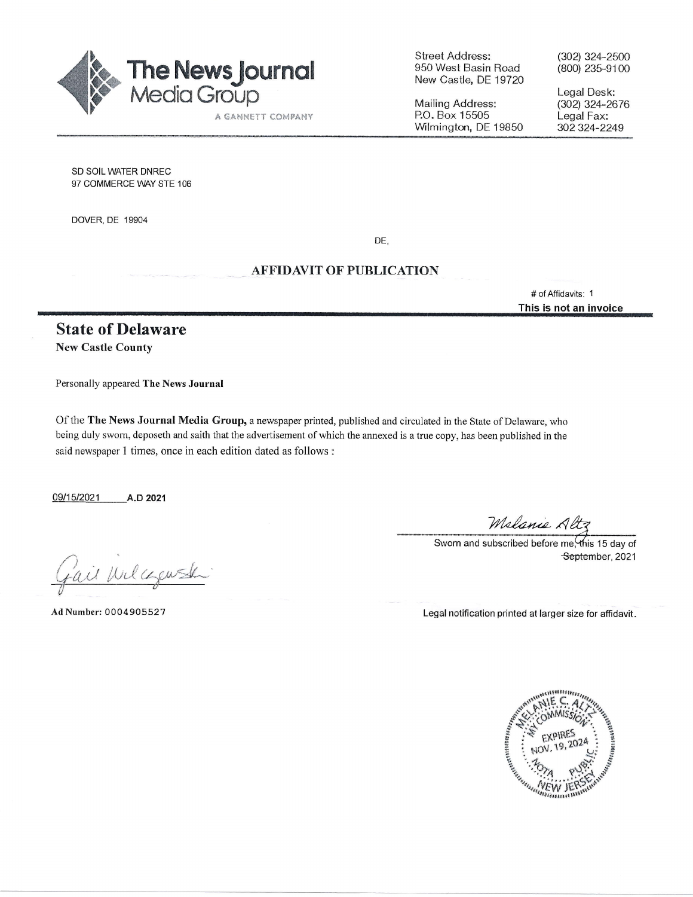

Street Address: 950 Wesi Basin Road New Castle, DE 19720

Mailing Address: P.O. Box 15505 Wilmington, DE 19850 (302) 324-2500 (800) 235-9100

Legal Desk: (3O2) 324-2676 Legal Fax: 302 324-2249

SD SOIL WATER DNREC 97 COMMERCE WAY STE 106

DOVER, DE 19904

DE,

## AFFIDAVIT OF PUBLICATION

# of Affidavits: <sup>1</sup> This is not an invoice

## State of Delaware New Castle County

Personally appeared The News Journal

Of the The News Journal Media Group, a newspaper printed, published and circulated in the State of Delaware, who being duly swom, deposeth and saith that the advertisement of which the annexed is a true copy, has been published in the said newspaper 1 times, once in each edition dated as follows :

09/15/2021 A.D 2021

fail Wilcourse

Melanie Altz<br>Sworn and subscribed before me, this 15 day of September, 2021

Ad Number: 0004905527 Legal notification printed at larger size for affidavit.